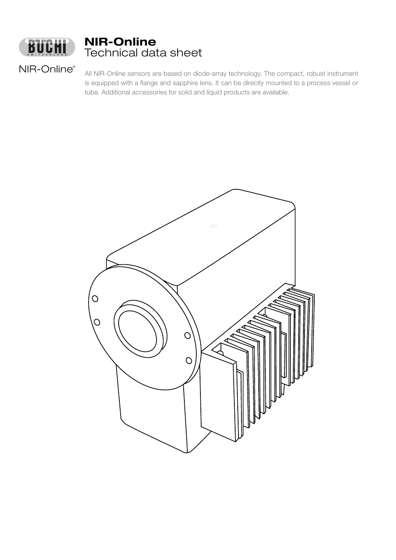

# NIR-Online Technical data sheet

NIR-Online®

All NIR-Online sensors are based on diode-array technology. The compact, robust instrument is equipped with a flange and sapphire lens. It can be directly mounted to a process vessel or tube. Additional accessories for solid and liquid products are available.

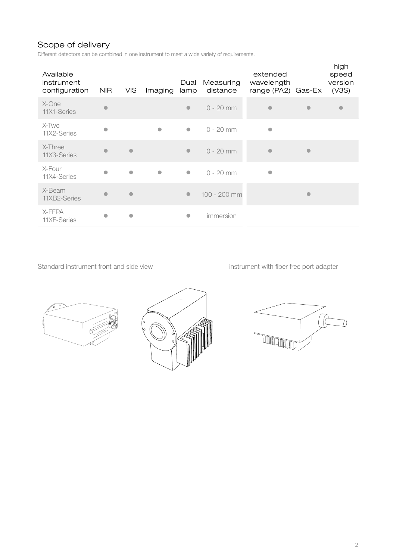# Scope of delivery

Different detectors can be combined in one instrument to meet a wide variety of requirements.

| Available<br>instrument<br>configuration | <b>NIR</b> | <b>VIS</b>     | Imaging   | Dual<br>lamp | Measuring<br>distance | extended<br>wavelength<br>range (PA2) Gas-Ex |           | high<br>speed<br>version<br>(V3S) |
|------------------------------------------|------------|----------------|-----------|--------------|-----------------------|----------------------------------------------|-----------|-----------------------------------|
| X-One<br>11X1-Series                     |            |                |           | $\bullet$    | $0 - 20$ mm           |                                              |           |                                   |
| X-Two<br>11X2-Series                     |            |                | $\bullet$ | $\bullet$    | $0 - 20$ mm           | $\bullet$                                    |           |                                   |
| X-Three<br>11X3-Series                   |            | $\blacksquare$ |           | $\bullet$    | $0 - 20$ mm           |                                              | $\bullet$ |                                   |
| X-Four<br>11X4-Series                    |            | $\bullet$      | $\bullet$ | $\bullet$    | $0 - 20$ mm           | $\bullet$                                    |           |                                   |
| X-Beam<br>11XB2-Series                   |            | $\blacksquare$ |           | $\bullet$    | 100 - 200 mm          |                                              | $\bullet$ |                                   |
| X-FFPA<br>11XF-Series                    |            | $\bullet$      |           | O            | immersion             |                                              |           |                                   |

Standard instrument front and side view instrument with fiber free port adapter





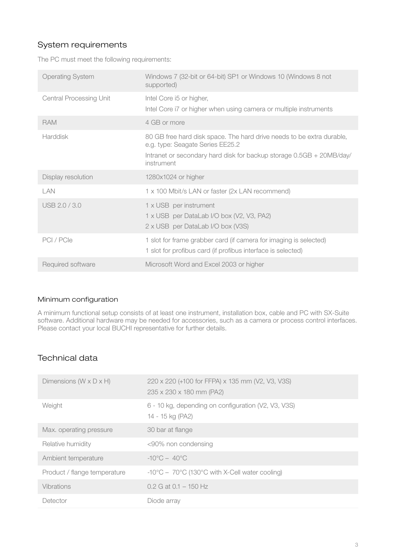## System requirements

The PC must meet the following requirements:

| <b>Operating System</b>        | Windows 7 (32-bit or 64-bit) SP1 or Windows 10 (Windows 8 not<br>supported)                                                                                                                     |
|--------------------------------|-------------------------------------------------------------------------------------------------------------------------------------------------------------------------------------------------|
| <b>Central Processing Unit</b> | Intel Core i5 or higher,<br>Intel Core i7 or higher when using camera or multiple instruments                                                                                                   |
| <b>RAM</b>                     | 4 GB or more                                                                                                                                                                                    |
| <b>Harddisk</b>                | 80 GB free hard disk space. The hard drive needs to be extra durable,<br>e.g. type: Seagate Series EE25.2<br>Intranet or secondary hard disk for backup storage 0.5GB + 20MB/day/<br>instrument |
| Display resolution             | 1280x1024 or higher                                                                                                                                                                             |
| LAN                            | 1 x 100 Mbit/s LAN or faster (2x LAN recommend)                                                                                                                                                 |
| USB 2.0 / 3.0                  | 1 x USB per instrument<br>1 x USB per DataLab I/O box (V2, V3, PA2)<br>2 x USB per DataLab I/O box (V3S)                                                                                        |
| PCI / PCIe                     | 1 slot for frame grabber card (if camera for imaging is selected)<br>1 slot for profibus card (if profibus interface is selected)                                                               |
| Required software              | Microsoft Word and Excel 2003 or higher                                                                                                                                                         |

### Minimum configuration

A minimum functional setup consists of at least one instrument, installation box, cable and PC with SX-Suite software. Additional hardware may be needed for accessories, such as a camera or process control interfaces. Please contact your local BUCHI representative for further details.

### Technical data

| Dimensions ( $W \times D \times H$ ) | 220 x 220 (+100 for FFPA) x 135 mm (V2, V3, V3S)<br>235 x 230 x 180 mm (PA2)   |
|--------------------------------------|--------------------------------------------------------------------------------|
| Weight                               | 6 - 10 kg, depending on configuration (V2, V3, V3S)<br>14 - 15 kg (PA2)        |
| Max. operating pressure              | 30 bar at flange                                                               |
| Relative humidity                    | <90% non condensing                                                            |
| Ambient temperature                  | $-10^{\circ}$ C – 40 $^{\circ}$ C                                              |
| Product / flange temperature         | $-10^{\circ}$ C – 70 $^{\circ}$ C (130 $^{\circ}$ C with X-Cell water cooling) |
| Vibrations                           | $0.2$ G at $0.1 - 150$ Hz                                                      |
| Detector                             | Diode array                                                                    |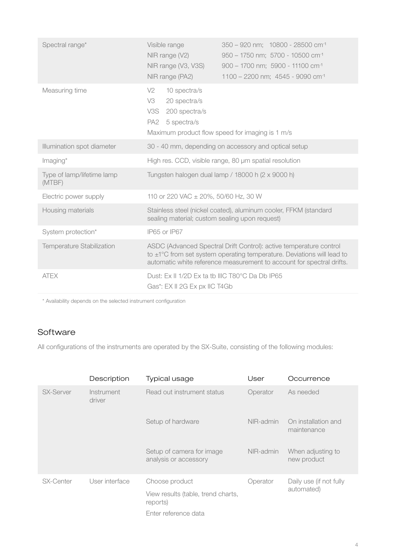| Spectral range*                      | Visible range<br>NIR range (V2)<br>NIR range (V3, V3S)<br>NIR range (PA2)                                                                 | 350 - 920 nm; 10800 - 28500 cm <sup>-1</sup><br>950 - 1750 nm; 5700 - 10500 cm <sup>-1</sup><br>900 - 1700 nm; 5900 - 11100 cm <sup>-1</sup><br>1100 - 2200 nm; 4545 - 9090 cm <sup>-1</sup>                               |
|--------------------------------------|-------------------------------------------------------------------------------------------------------------------------------------------|----------------------------------------------------------------------------------------------------------------------------------------------------------------------------------------------------------------------------|
| Measuring time                       | V2<br>10 spectra/s<br>V3<br>20 spectra/s<br>V3S<br>200 spectra/s<br>PA2<br>5 spectra/s<br>Maximum product flow speed for imaging is 1 m/s |                                                                                                                                                                                                                            |
| Illumination spot diameter           |                                                                                                                                           | 30 - 40 mm, depending on accessory and optical setup                                                                                                                                                                       |
| Imaging*                             |                                                                                                                                           | High res. CCD, visible range, 80 µm spatial resolution                                                                                                                                                                     |
| Type of lamp/lifetime lamp<br>(MTBF) |                                                                                                                                           | Tungsten halogen dual lamp / 18000 h (2 x 9000 h)                                                                                                                                                                          |
| Electric power supply                | 110 or 220 VAC ± 20%, 50/60 Hz, 30 W                                                                                                      |                                                                                                                                                                                                                            |
| Housing materials                    | sealing material; custom sealing upon request)                                                                                            | Stainless steel (nickel coated), aluminum cooler, FFKM (standard                                                                                                                                                           |
| System protection*                   | IP65 or IP67                                                                                                                              |                                                                                                                                                                                                                            |
| Temperature Stabilization            |                                                                                                                                           | ASDC (Advanced Spectral Drift Control): active temperature control<br>to $\pm$ 1°C from set system operating temperature. Deviations will lead to<br>automatic white reference measurement to account for spectral drifts. |
| <b>ATEX</b>                          | Dust: Ex II 1/2D Ex ta tb IIIC T80°C Da Db IP65<br>Gas*: EX II 2G Ex px IIC T4Gb                                                          |                                                                                                                                                                                                                            |

\* Availability depends on the selected instrument configuration

## Software

All configurations of the instruments are operated by the SX-Suite, consisting of the following modules:

|                  | Description          | Typical usage                                        | User      | Occurrence                            |
|------------------|----------------------|------------------------------------------------------|-----------|---------------------------------------|
| <b>SX-Server</b> | Instrument<br>driver | Read out instrument status                           | Operator  | As needed                             |
|                  |                      | Setup of hardware                                    | NIR-admin | On installation and<br>maintenance    |
|                  |                      | Setup of camera for image<br>analysis or accessory   | NIR-admin | When adjusting to<br>new product      |
| SX-Center        | User interface       | Choose product<br>View results (table, trend charts, | Operator  | Daily use (if not fully<br>automated) |
|                  |                      | reports)                                             |           |                                       |
|                  |                      | Enter reference data                                 |           |                                       |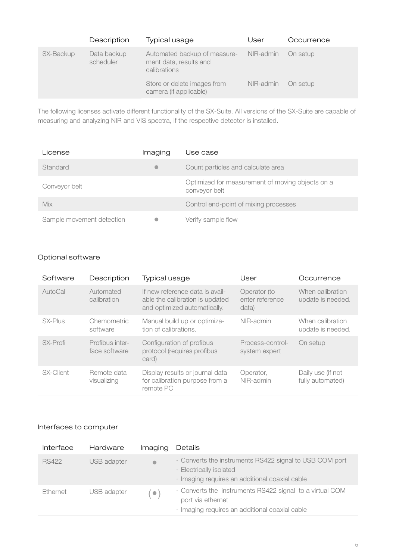|           | Description              | Typical usage                                                          | User      | Occurrence |
|-----------|--------------------------|------------------------------------------------------------------------|-----------|------------|
| SX-Backup | Data backup<br>scheduler | Automated backup of measure-<br>ment data, results and<br>calibrations | NIR-admin | On setup   |
|           |                          | Store or delete images from<br>camera (if applicable)                  | NIR-admin | On setup   |

The following licenses activate different functionality of the SX-Suite. All versions of the SX-Suite are capable of measuring and analyzing NIR and VIS spectra, if the respective detector is installed.

| License                   | Imaging   | Use case                                                          |
|---------------------------|-----------|-------------------------------------------------------------------|
| Standard                  | $\bullet$ | Count particles and calculate area                                |
| Conveyor belt             |           | Optimized for measurement of moving objects on a<br>conveyor belt |
| Mix                       |           | Control end-point of mixing processes                             |
| Sample movement detection |           | Verify sample flow                                                |

### Optional software

| Software  | Description                      | <b>Typical usage</b>                                                                               | User                                     | Occurrence                            |
|-----------|----------------------------------|----------------------------------------------------------------------------------------------------|------------------------------------------|---------------------------------------|
| AutoCal   | Automated<br>calibration         | If new reference data is avail-<br>able the calibration is updated<br>and optimized automatically. | Operator (to<br>enter reference<br>data) | When calibration<br>update is needed. |
| SX-Plus   | Chemometric<br>software          | Manual build up or optimiza-<br>tion of calibrations.                                              | NIR-admin                                | When calibration<br>update is needed. |
| SX-Profi  | Profibus inter-<br>face software | Configuration of profibus<br>protocol (requires profibus<br>card)                                  | Process-control-<br>system expert        | On setup                              |
| SX-Client | Remote data<br>visualizing       | Display results or journal data<br>for calibration purpose from a<br>remote PC                     | Operator,<br>NIR-admin                   | Daily use (if not<br>fully automated) |

### Interfaces to computer

| Interface    | Hardware    | Imaging        | Details                                                                                                                              |
|--------------|-------------|----------------|--------------------------------------------------------------------------------------------------------------------------------------|
| <b>RS422</b> | USB adapter | $\blacksquare$ | . Converts the instruments RS422 signal to USB COM port<br>· Electrically isolated<br>· Imaging requires an additional coaxial cable |
| Ethernet     | USB adapter | $\bullet$      | . Converts the instruments RS422 signal to a virtual COM<br>port via ethernet<br>· Imaging requires an additional coaxial cable      |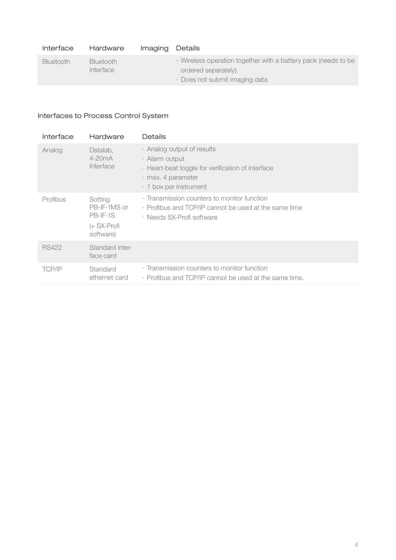| Interface        | Hardware                      | Imaging | Details                                                                                                                |
|------------------|-------------------------------|---------|------------------------------------------------------------------------------------------------------------------------|
| <b>Bluetooth</b> | <b>Bluetooth</b><br>interface |         | Wireless operation together with a battery pack (needs to be<br>ordered separately).<br>· Does not submit imaging data |

# Interfaces to Process Control System

| Interface     | Hardware                                                           | Details                                                                                                                                                       |
|---------------|--------------------------------------------------------------------|---------------------------------------------------------------------------------------------------------------------------------------------------------------|
| Analog        | Datalab,<br>$4-20mA$<br>Interface                                  | · Analog output of results<br>· Alarm output<br>· Heart-beat toggle for verification of interface<br>$\cdot$ max. 4 parameter<br>$\cdot$ 1 box per instrument |
| Profibus      | Softing<br>PB-IF-1MS or<br>$PB$ -IF-1S<br>(+ SX-Profi<br>software) | Examplession counters to monitor function<br>• Profibus and TCP/IP cannot be used at the same time<br>· Needs SX-Profi software                               |
| <b>RS422</b>  | Standard inter-<br>face card                                       |                                                                                                                                                               |
| <b>TCP/IP</b> | Standard<br>ethernet card                                          | Examplession counters to monitor function<br>• Profibus and TCP/IP cannot be used at the same time.                                                           |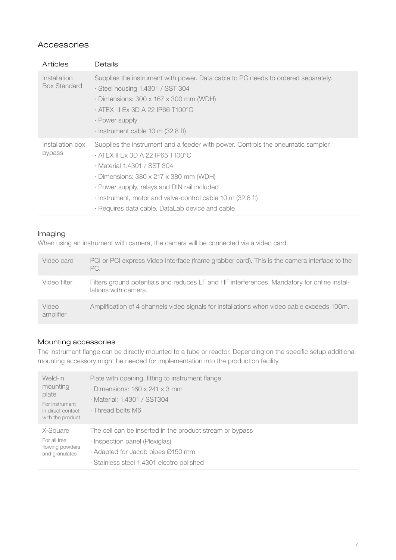### Accessories

| <b>Articles</b>                     | Details                                                                                                                                                                                                                                                                                                                                                                    |
|-------------------------------------|----------------------------------------------------------------------------------------------------------------------------------------------------------------------------------------------------------------------------------------------------------------------------------------------------------------------------------------------------------------------------|
| Installation<br><b>Box Standard</b> | Supplies the instrument with power. Data cable to PC needs to ordered separately.<br>· Steel housing 1.4301 / SST 304<br>$\cdot$ Dimensions: 300 x 167 x 300 mm (WDH)<br>· ATEX Ⅱ Ex 3D A 22 IP66 T100°C<br>· Power supply<br>$\cdot$ Instrument cable 10 m (32.8 ft)                                                                                                      |
| Installation box<br>bypass          | Supplies the instrument and a feeder with power. Controls the pneumatic sampler.<br>$\cdot$ ATEX II Ex 3D A 22 IP65 T100°C<br>· Material 1.4301 / SST 304<br>$\cdot$ Dimensions: 380 x 217 x 380 mm (WDH)<br>· Power supply, relays and DIN rail included<br>· Instrument, motor and valve-control cable 10 m (32.8 ft)<br>· Requires data cable, DataLab device and cable |

#### Imaging

When using an instrument with camera, the camera will be connected via a video card.

| Video card         | PCI or PCI express Video Interface (frame grabber card). This is the camera interface to the<br>PC.                 |
|--------------------|---------------------------------------------------------------------------------------------------------------------|
| Video filter       | Filters ground potentials and reduces LF and HF interferences. Mandatory for online instal-<br>lations with camera. |
| Video<br>amplifier | Amplification of 4 channels video signals for installations when video cable exceeds 100m.                          |

### Mounting accessories

The instrument flange can be directly mounted to a tube or reactor. Depending on the specific setup additional mounting accessory might be needed for implementation into the production facility.

| Weld-in<br>mounting<br>plate<br>For instrument<br>in direct contact<br>with the product | Plate with opening, fitting to instrument flange.<br>$\cdot$ Dimensions: 160 x 241 x 3 mm<br>· Material: 1.4301 / SST304<br>. Thread bolts M6 |
|-----------------------------------------------------------------------------------------|-----------------------------------------------------------------------------------------------------------------------------------------------|
| X-Square                                                                                | The cell can be inserted in the product stream or bypass                                                                                      |
| For all free                                                                            | · Inspection panel (Plexiglas)                                                                                                                |
| flowing powders                                                                         | · Adapted for Jacob pipes Ø150 mm                                                                                                             |
| and granulates                                                                          | · Stainless steel 1.4301 electro polished                                                                                                     |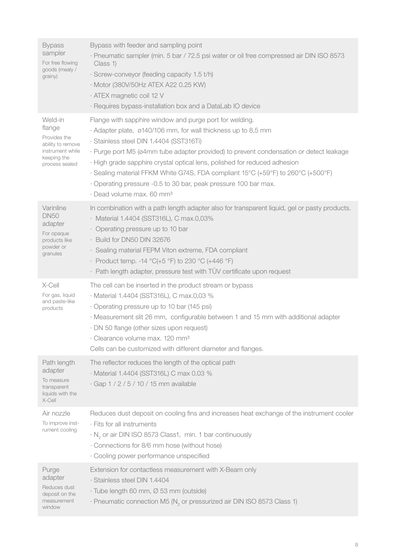| <b>Bypass</b><br>sampler<br>For free flowing<br>goods (mealy /<br>grainy)                                   | Bypass with feeder and sampling point<br>· Pneumatic sampler (min. 5 bar / 72.5 psi water or oil free compressed air DIN ISO 8573<br>Class 1)<br>· Screw-conveyor (feeding capacity 1.5 t/h)<br>· Motor (380V/50Hz ATEX A22 0.25 KW)<br>· ATEX magnetic coil 12 V<br>· Requires bypass-installation box and a DataLab IO device                                                                                                                                                                                                          |
|-------------------------------------------------------------------------------------------------------------|------------------------------------------------------------------------------------------------------------------------------------------------------------------------------------------------------------------------------------------------------------------------------------------------------------------------------------------------------------------------------------------------------------------------------------------------------------------------------------------------------------------------------------------|
| Weld-in<br>flange<br>Provides the<br>ability to remove<br>instrument while<br>keeping the<br>process sealed | Flange with sapphire window and purge port for welding.<br>· Adapter plate, ø140/106 mm, for wall thickness up to 8,5 mm<br>· Stainless steel DIN 1.4404 (SST316Ti)<br>· Purge port M5 (ø4mm tube adapter provided) to prevent condensation or detect leakage<br>· High grade sapphire crystal optical lens, polished for reduced adhesion<br>· Sealing material FFKM White G74S, FDA compliant 15°C (+59°F) to 260°C (+500°F)<br>Operating pressure -0.5 to 30 bar, peak pressure 100 bar max.<br>· Dead volume max. 60 mm <sup>3</sup> |
| Varinline<br><b>DN50</b><br>adapter<br>For opaque<br>products like<br>powder or<br>granules                 | In combination with a path length adapter also for transparent liquid, gel or pasty products.<br>· Material 1.4404 (SST316L), C max.0,03%<br>• Operating pressure up to 10 bar<br>· Build for DN50 DIN 32676<br>· Sealing material FEPM Viton extreme, FDA compliant<br>• Product temp. -14 $^{\circ}$ C(+5 $^{\circ}$ F) to 230 $^{\circ}$ C (+446 $^{\circ}$ F)<br>· Path length adapter, pressure test with TÜV certificate upon request                                                                                              |
| X-Cell<br>For gas, liquid<br>and paste-like<br>products                                                     | The cell can be inserted in the product stream or bypass<br>· Material 1.4404 (SST316L), C max.0,03 %<br>· Operating pressure up to 10 bar (145 psi)<br>· Measurement slit 26 mm, configurable between 1 and 15 mm with additional adapter<br>· DN 50 flange (other sizes upon request)<br>· Clearance volume max. 120 mm <sup>3</sup><br>Cells can be customized with different diameter and flanges.                                                                                                                                   |
| Path length<br>adapter<br>To measure<br>transparent<br>liquids with the<br>X-Cell                           | The reflector reduces the length of the optical path<br>· Material 1.4404 (SST316L) C max 0.03 %<br>· Gap 1 / 2 / 5 / 10 / 15 mm available                                                                                                                                                                                                                                                                                                                                                                                               |
| Air nozzle<br>To improve inst-<br>rument cooling                                                            | Reduces dust deposit on cooling fins and increases heat exchange of the instrument cooler<br>· Fits for all instruments<br>$\cdot$ N <sub>2</sub> or air DIN ISO 8573 Class1, min. 1 bar continuously<br>· Connections for 8/6 mm hose (without hose)<br>· Cooling power performance unspecified                                                                                                                                                                                                                                         |
| Purge<br>adapter<br>Reduces dust<br>deposit on the<br>measurement<br>window                                 | Extension for contactless measurement with X-Beam only<br>· Stainless steel DIN 1.4404<br>· Tube length 60 mm, Ø 53 mm (outside)<br>$\cdot$ Pneumatic connection M5 (N <sub>2</sub> or pressurized air DIN ISO 8573 Class 1)                                                                                                                                                                                                                                                                                                             |